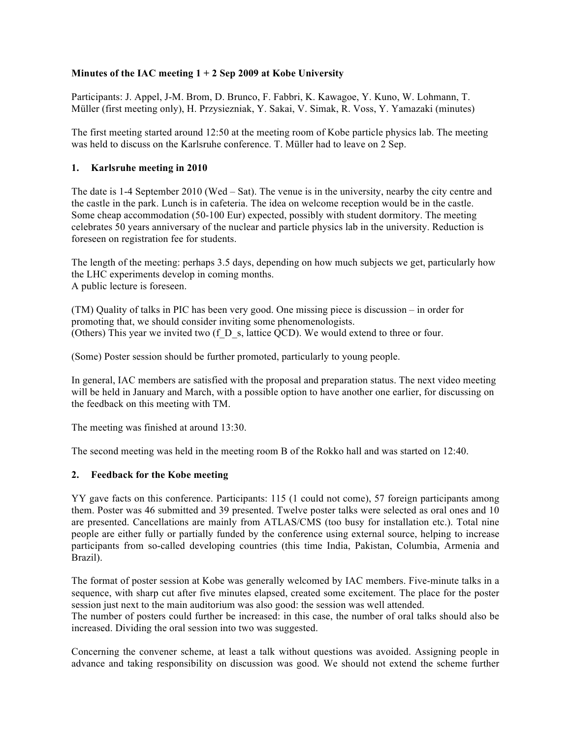## **Minutes of the IAC meeting 1 + 2 Sep 2009 at Kobe University**

Participants: J. Appel, J-M. Brom, D. Brunco, F. Fabbri, K. Kawagoe, Y. Kuno, W. Lohmann, T. Müller (first meeting only), H. Przysiezniak, Y. Sakai, V. Simak, R. Voss, Y. Yamazaki (minutes)

The first meeting started around 12:50 at the meeting room of Kobe particle physics lab. The meeting was held to discuss on the Karlsruhe conference. T. Müller had to leave on 2 Sep.

#### **1. Karlsruhe meeting in 2010**

The date is 1-4 September 2010 (Wed – Sat). The venue is in the university, nearby the city centre and the castle in the park. Lunch is in cafeteria. The idea on welcome reception would be in the castle. Some cheap accommodation (50-100 Eur) expected, possibly with student dormitory. The meeting celebrates 50 years anniversary of the nuclear and particle physics lab in the university. Reduction is foreseen on registration fee for students.

The length of the meeting: perhaps 3.5 days, depending on how much subjects we get, particularly how the LHC experiments develop in coming months. A public lecture is foreseen.

(TM) Quality of talks in PIC has been very good. One missing piece is discussion – in order for promoting that, we should consider inviting some phenomenologists. (Others) This year we invited two (f\_D\_s, lattice QCD). We would extend to three or four.

(Some) Poster session should be further promoted, particularly to young people.

In general, IAC members are satisfied with the proposal and preparation status. The next video meeting will be held in January and March, with a possible option to have another one earlier, for discussing on the feedback on this meeting with TM.

The meeting was finished at around 13:30.

The second meeting was held in the meeting room B of the Rokko hall and was started on 12:40.

#### **2. Feedback for the Kobe meeting**

YY gave facts on this conference. Participants: 115 (1 could not come), 57 foreign participants among them. Poster was 46 submitted and 39 presented. Twelve poster talks were selected as oral ones and 10 are presented. Cancellations are mainly from ATLAS/CMS (too busy for installation etc.). Total nine people are either fully or partially funded by the conference using external source, helping to increase participants from so-called developing countries (this time India, Pakistan, Columbia, Armenia and Brazil).

The format of poster session at Kobe was generally welcomed by IAC members. Five-minute talks in a sequence, with sharp cut after five minutes elapsed, created some excitement. The place for the poster session just next to the main auditorium was also good: the session was well attended.

The number of posters could further be increased: in this case, the number of oral talks should also be increased. Dividing the oral session into two was suggested.

Concerning the convener scheme, at least a talk without questions was avoided. Assigning people in advance and taking responsibility on discussion was good. We should not extend the scheme further